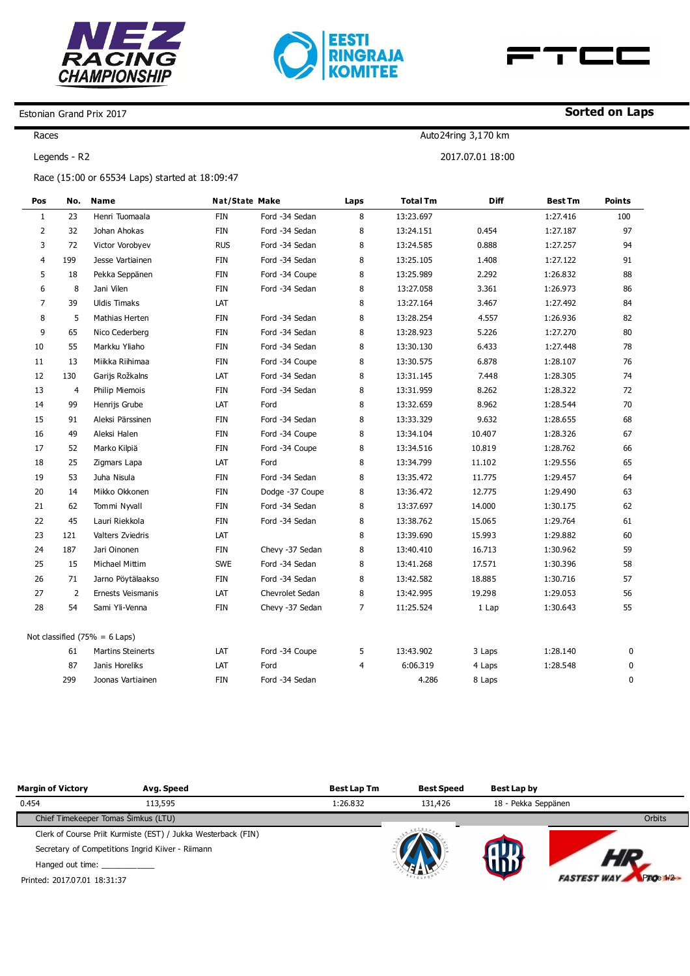





Estonian Grand Prix 2017

Races

Legends - R2

Auto24ring 3,170 km 2017.07.01 18:00

Race (15:00 or 65534 Laps) started at 18:09:47

| Pos            | No.            | <b>Name</b>                     |            | Nat/State Make  | Laps           | <b>Total Tm</b> | <b>Diff</b> | <b>Best Tm</b> | <b>Points</b> |
|----------------|----------------|---------------------------------|------------|-----------------|----------------|-----------------|-------------|----------------|---------------|
| $\mathbf{1}$   | 23             | Henri Tuomaala                  | <b>FIN</b> | Ford -34 Sedan  | 8              | 13:23.697       |             | 1:27.416       | 100           |
| $\overline{2}$ | 32             | Johan Ahokas                    | FIN        | Ford -34 Sedan  | 8              | 13:24.151       | 0.454       | 1:27.187       | 97            |
| 3              | 72             | Victor Vorobyev                 | <b>RUS</b> | Ford -34 Sedan  | 8              | 13:24.585       | 0.888       | 1:27.257       | 94            |
| 4              | 199            | Jesse Vartiainen                | FIN        | Ford -34 Sedan  | 8              | 13:25.105       | 1.408       | 1:27.122       | 91            |
| 5              | 18             | Pekka Seppänen                  | FIN        | Ford -34 Coupe  | 8              | 13:25.989       | 2.292       | 1:26.832       | 88            |
| 6              | 8              | Jani Vilen                      | <b>FIN</b> | Ford -34 Sedan  | 8              | 13:27.058       | 3.361       | 1:26.973       | 86            |
| $\overline{7}$ | 39             | <b>Uldis Timaks</b>             | LAT        |                 | 8              | 13:27.164       | 3.467       | 1:27.492       | 84            |
| 8              | 5              | Mathias Herten                  | FIN        | Ford -34 Sedan  | 8              | 13:28.254       | 4.557       | 1:26.936       | 82            |
| 9              | 65             | Nico Cederberg                  | FIN        | Ford -34 Sedan  | 8              | 13:28.923       | 5.226       | 1:27.270       | 80            |
| 10             | 55             | Markku Yliaho                   | FIN        | Ford -34 Sedan  | 8              | 13:30.130       | 6.433       | 1:27.448       | 78            |
| 11             | 13             | Miikka Riihimaa                 | FIN        | Ford -34 Coupe  | 8              | 13:30.575       | 6.878       | 1:28.107       | 76            |
| 12             | 130            | Garijs Rožkalns                 | LAT        | Ford -34 Sedan  | 8              | 13:31.145       | 7.448       | 1:28.305       | 74            |
| 13             | 4              | Philip Miemois                  | FIN        | Ford -34 Sedan  | 8              | 13:31.959       | 8.262       | 1:28.322       | 72            |
| 14             | 99             | Henrijs Grube                   | LAT        | Ford            | 8              | 13:32.659       | 8.962       | 1:28.544       | 70            |
| 15             | 91             | Aleksi Pärssinen                | FIN        | Ford -34 Sedan  | 8              | 13:33.329       | 9.632       | 1:28.655       | 68            |
| 16             | 49             | Aleksi Halen                    | FIN        | Ford -34 Coupe  | 8              | 13:34.104       | 10.407      | 1:28.326       | 67            |
| 17             | 52             | Marko Kilpiä                    | FIN        | Ford -34 Coupe  | 8              | 13:34.516       | 10.819      | 1:28.762       | 66            |
| 18             | 25             | Zigmars Lapa                    | LAT        | Ford            | 8              | 13:34.799       | 11.102      | 1:29.556       | 65            |
| 19             | 53             | Juha Nisula                     | FIN        | Ford -34 Sedan  | 8              | 13:35.472       | 11.775      | 1:29.457       | 64            |
| 20             | 14             | Mikko Okkonen                   | FIN        | Dodge -37 Coupe | 8              | 13:36.472       | 12.775      | 1:29.490       | 63            |
| 21             | 62             | Tommi Nyvall                    | FIN        | Ford -34 Sedan  | 8              | 13:37.697       | 14.000      | 1:30.175       | 62            |
| 22             | 45             | Lauri Riekkola                  | FIN        | Ford -34 Sedan  | 8              | 13:38.762       | 15.065      | 1:29.764       | 61            |
| 23             | 121            | Valters Zviedris                | LAT        |                 | 8              | 13:39.690       | 15.993      | 1:29.882       | 60            |
| 24             | 187            | Jari Oinonen                    | FIN        | Chevy -37 Sedan | 8              | 13:40.410       | 16.713      | 1:30.962       | 59            |
| 25             | 15             | Michael Mittim                  | <b>SWE</b> | Ford -34 Sedan  | 8              | 13:41.268       | 17.571      | 1:30.396       | 58            |
| 26             | 71             | Jarno Pöytälaakso               | FIN        | Ford -34 Sedan  | 8              | 13:42.582       | 18.885      | 1:30.716       | 57            |
| 27             | $\overline{2}$ | Ernests Veismanis               | LAT        | Chevrolet Sedan | 8              | 13:42.995       | 19.298      | 1:29.053       | 56            |
| 28             | 54             | Sami Yli-Venna                  | FIN        | Chevy -37 Sedan | 7              | 11:25.524       | 1 Lap       | 1:30.643       | 55            |
|                |                | Not classified $(75% = 6$ Laps) |            |                 |                |                 |             |                |               |
|                | 61             | <b>Martins Steinerts</b>        | LAT        | Ford -34 Coupe  | 5              | 13:43.902       | 3 Laps      | 1:28.140       | 0             |
|                | 87             | Janis Horeliks                  | LAT        | Ford            | $\overline{4}$ | 6:06.319        | 4 Laps      | 1:28.548       | 0             |
|                | 299            | Joonas Vartiainen               | FIN        | Ford -34 Sedan  |                | 4.286           | 8 Laps      |                | $\mathbf 0$   |

| <b>Margin of Victory</b>                          | Avg. Speed                                                    | <b>Best Lap Tm</b> | <b>Best Speed</b> | Best Lap by         |                                  |
|---------------------------------------------------|---------------------------------------------------------------|--------------------|-------------------|---------------------|----------------------------------|
| 0.454<br>113,595                                  |                                                               | 1:26.832           | 131,426           | 18 - Pekka Seppänen |                                  |
| Chief Timekeeper Tomas Šimkus (LTU)               |                                                               |                    |                   |                     | Orbits                           |
|                                                   | Clerk of Course Priit Kurmiste (EST) / Jukka Westerback (FIN) |                    |                   |                     |                                  |
| Secretary of Competitions Ingrid Kiiver - Riimann |                                                               |                    |                   |                     |                                  |
| Hanged out time:                                  |                                                               |                    |                   | WW                  |                                  |
| Printed: 2017.07.01 18:31:37                      |                                                               |                    |                   |                     | Page 1/2 -<br><b>FASTEST WAY</b> |

## **Sorted on Laps**